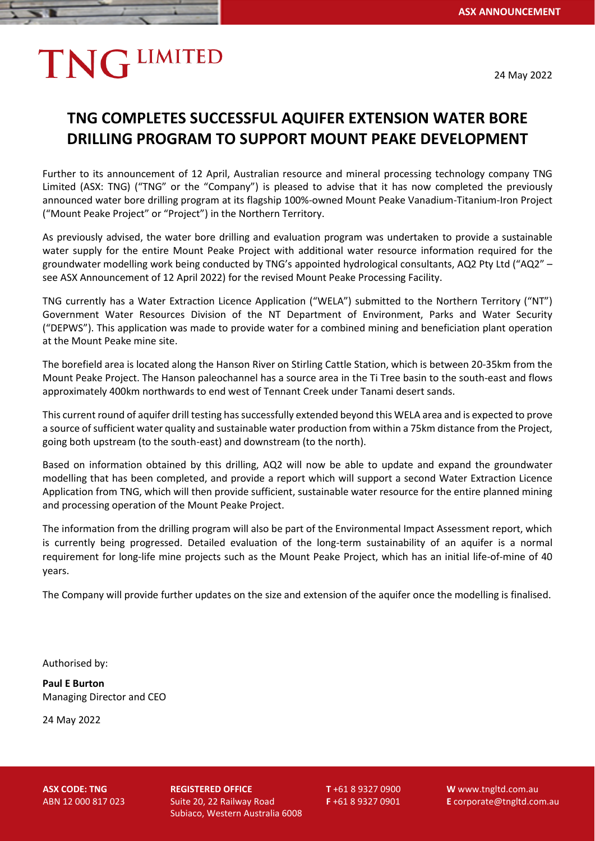# **TNG LIMITED**

24 May 2022

## **TNG COMPLETES SUCCESSFUL AQUIFER EXTENSION WATER BORE DRILLING PROGRAM TO SUPPORT MOUNT PEAKE DEVELOPMENT**

Further to its announcement of 12 April, Australian resource and mineral processing technology company TNG Limited (ASX: TNG) ("TNG" or the "Company") is pleased to advise that it has now completed the previously announced water bore drilling program at its flagship 100%-owned Mount Peake Vanadium-Titanium-Iron Project ("Mount Peake Project" or "Project") in the Northern Territory.

As previously advised, the water bore drilling and evaluation program was undertaken to provide a sustainable water supply for the entire Mount Peake Project with additional water resource information required for the groundwater modelling work being conducted by TNG's appointed hydrological consultants, AQ2 Pty Ltd ("AQ2" – see ASX Announcement of 12 April 2022) for the revised Mount Peake Processing Facility.

TNG currently has a Water Extraction Licence Application ("WELA") submitted to the Northern Territory ("NT") Government Water Resources Division of the NT Department of Environment, Parks and Water Security ("DEPWS"). This application was made to provide water for a combined mining and beneficiation plant operation at the Mount Peake mine site.

The borefield area is located along the Hanson River on Stirling Cattle Station, which is between 20-35km from the Mount Peake Project. The Hanson paleochannel has a source area in the Ti Tree basin to the south-east and flows approximately 400km northwards to end west of Tennant Creek under Tanami desert sands.

This current round of aquifer drill testing has successfully extended beyond this WELA area and is expected to prove a source of sufficient water quality and sustainable water production from within a 75km distance from the Project, going both upstream (to the south-east) and downstream (to the north).

Based on information obtained by this drilling, AQ2 will now be able to update and expand the groundwater modelling that has been completed, and provide a report which will support a second Water Extraction Licence Application from TNG, which will then provide sufficient, sustainable water resource for the entire planned mining and processing operation of the Mount Peake Project.

The information from the drilling program will also be part of the Environmental Impact Assessment report, which is currently being progressed. Detailed evaluation of the long-term sustainability of an aquifer is a normal requirement for long-life mine projects such as the Mount Peake Project, which has an initial life-of-mine of 40 years.

The Company will provide further updates on the size and extension of the aquifer once the modelling is finalised.

Authorised by:

**Paul E Burton** Managing Director and CEO

24 May 2022

**ASX CODE: TNG REGISTERED OFFICE T** +61 8 9327 0900 **W** www.tngltd.com.au ABN 12 000 817 023 Suite 20, 22 Railway Road **F** +61 8 9327 0901 **E** corporate@tngltd.com.au Subiaco, Western Australia 6008